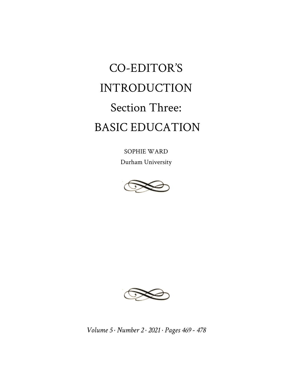## CO-EDITOR'S INTRODUCTION Section Three: BASIC EDUCATION

SOPHIE WARD Durham University





*Volume 5 · Number 2 · 2021 · Pages 469 - 478*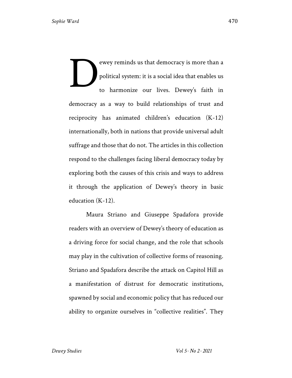ewey reminds us that democracy is more than a political system: it is a social idea that enables us to harmonize our lives. Dewey's faith in democracy as a way to build relationships of trust and reciprocity has animated children's education (K-12) internationally, both in nations that provide universal adult suffrage and those that do not. The articles in this collection respond to the challenges facing liberal democracy today by exploring both the causes of this crisis and ways to address it through the application of Dewey's theory in basic education (K-12). D

Maura Striano and Giuseppe Spadafora provide readers with an overview of Dewey's theory of education as a driving force for social change, and the role that schools may play in the cultivation of collective forms of reasoning. Striano and Spadafora describe the attack on Capitol Hill as a manifestation of distrust for democratic institutions, spawned by social and economic policy that has reduced our ability to organize ourselves in "collective realities". They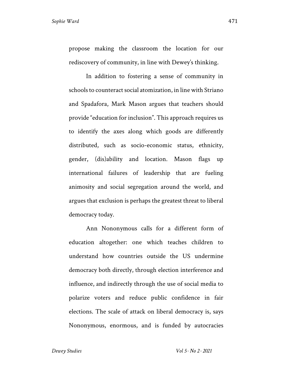propose making the classroom the location for our rediscovery of community, in line with Dewey's thinking.

In addition to fostering a sense of community in schools to counteract social atomization, in line with Striano and Spadafora, Mark Mason argues that teachers should provide "education for inclusion". This approach requires us to identify the axes along which goods are differently distributed, such as socio-economic status, ethnicity, gender, (dis)ability and location. Mason flags up international failures of leadership that are fueling animosity and social segregation around the world, and argues that exclusion is perhaps the greatest threat to liberal democracy today.

Ann Nononymous calls for a different form of education altogether: one which teaches children to understand how countries outside the US undermine democracy both directly, through election interference and influence, and indirectly through the use of social media to polarize voters and reduce public confidence in fair elections. The scale of attack on liberal democracy is, says Nononymous, enormous, and is funded by autocracies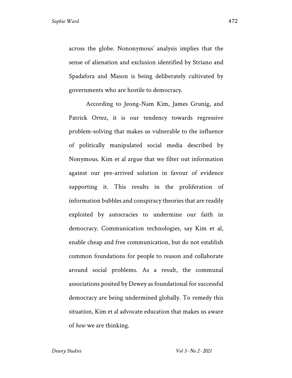across the globe. Nononymous' analysis implies that the sense of alienation and exclusion identified by Striano and Spadafora and Mason is being deliberately cultivated by governments who are hostile to democracy.

According to Jeong-Nam Kim, James Grunig, and Patrick Ortez, it is our tendency towards regressive problem-solving that makes us vulnerable to the influence of politically manipulated social media described by Nonymous. Kim et al argue that we filter out information against our pre-arrived solution in favour of evidence supporting it. This results in the proliferation of information bubbles and conspiracy theories that are readily exploited by autocracies to undermine our faith in democracy. Communication technologies, say Kim et al, enable cheap and free communication, but do not establish common foundations for people to reason and collaborate around social problems. As a result, the communal associations posited by Dewey as foundational for successful democracy are being undermined globally. To remedy this situation, Kim et al advocate education that makes us aware of *how* we are thinking.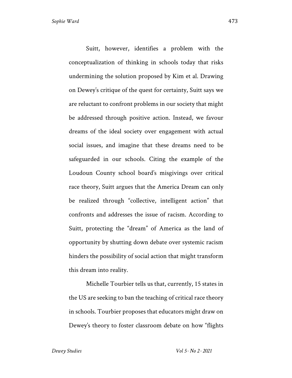Suitt, however, identifies a problem with the conceptualization of thinking in schools today that risks undermining the solution proposed by Kim et al. Drawing on Dewey's critique of the quest for certainty, Suitt says we are reluctant to confront problems in our society that might be addressed through positive action. Instead, we favour dreams of the ideal society over engagement with actual social issues, and imagine that these dreams need to be safeguarded in our schools. Citing the example of the Loudoun County school board's misgivings over critical race theory, Suitt argues that the America Dream can only be realized through "collective, intelligent action" that confronts and addresses the issue of racism. According to Suitt, protecting the "dream" of America as the land of opportunity by shutting down debate over systemic racism hinders the possibility of social action that might transform this dream into reality.

Michelle Tourbier tells us that, currently, 15 states in the US are seeking to ban the teaching of critical race theory in schools. Tourbier proposes that educators might draw on Dewey's theory to foster classroom debate on how "flights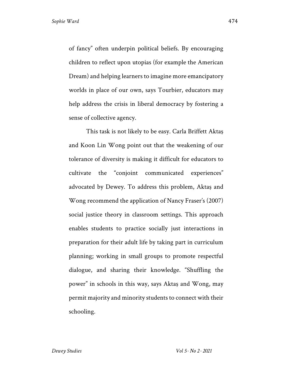of fancy" often underpin political beliefs. By encouraging children to reflect upon utopias (for example the American Dream) and helping learners to imagine more emancipatory worlds in place of our own, says Tourbier, educators may help address the crisis in liberal democracy by fostering a sense of collective agency.

This task is not likely to be easy. Carla Briffett Aktaş and Koon Lin Wong point out that the weakening of our tolerance of diversity is making it difficult for educators to cultivate the "conjoint communicated experiences" advocated by Dewey. To address this problem, Aktaş and Wong recommend the application of Nancy Fraser's (2007) social justice theory in classroom settings. This approach enables students to practice socially just interactions in preparation for their adult life by taking part in curriculum planning; working in small groups to promote respectful dialogue, and sharing their knowledge. "Shuffling the power" in schools in this way, says Aktaş and Wong, may permit majority and minority students to connect with their schooling.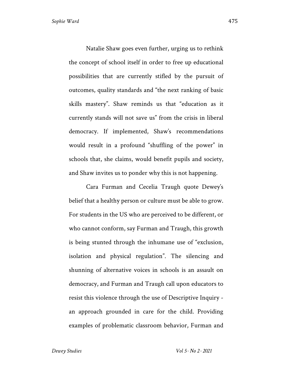Natalie Shaw goes even further, urging us to rethink the concept of school itself in order to free up educational possibilities that are currently stifled by the pursuit of outcomes, quality standards and "the next ranking of basic skills mastery". Shaw reminds us that "education as it currently stands will not save us" from the crisis in liberal democracy. If implemented, Shaw's recommendations would result in a profound "shuffling of the power" in schools that, she claims, would benefit pupils and society, and Shaw invites us to ponder why this is not happening.

Cara Furman and Cecelia Traugh quote Dewey's belief that a healthy person or culture must be able to grow. For students in the US who are perceived to be different, or who cannot conform, say Furman and Traugh, this growth is being stunted through the inhumane use of "exclusion, isolation and physical regulation". The silencing and shunning of alternative voices in schools is an assault on democracy, and Furman and Traugh call upon educators to resist this violence through the use of Descriptive Inquiry an approach grounded in care for the child. Providing examples of problematic classroom behavior, Furman and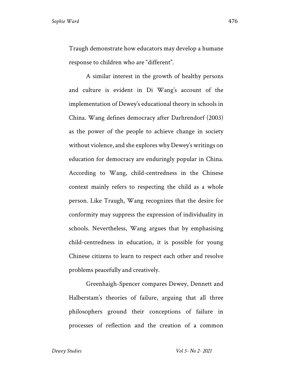Traugh demonstrate how educators may develop a humane response to children who are "different".

A similar interest in the growth of healthy persons and culture is evident in Di Wang's account of the implementation of Dewey's educational theory in schools in China. Wang defines democracy after Darhrendorf (2003) as the power of the people to achieve change in society without violence, and she explores why Dewey's writings on education for democracy are enduringly popular in China. According to Wang, child-centredness in the Chinese context mainly refers to respecting the child as a whole person. Like Traugh, Wang recognizes that the desire for conformity may suppress the expression of individuality in schools. Nevertheless, Wang argues that by emphasising child-centredness in education, it is possible for young Chinese citizens to learn to respect each other and resolve problems peacefully and creatively.

Greenhaigh-Spencer compares Dewey, Dennett and Halberstam's theories of failure, arguing that all three philosophers ground their conceptions of failure in processes of reflection and the creation of a common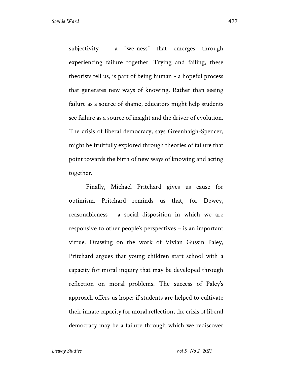subjectivity - a "we-ness" that emerges through experiencing failure together. Trying and failing, these theorists tell us, is part of being human - a hopeful process that generates new ways of knowing. Rather than seeing failure as a source of shame, educators might help students see failure as a source of insight and the driver of evolution. The crisis of liberal democracy, says Greenhaigh-Spencer, might be fruitfully explored through theories of failure that point towards the birth of new ways of knowing and acting together.

Finally, Michael Pritchard gives us cause for optimism. Pritchard reminds us that, for Dewey, reasonableness - a social disposition in which we are responsive to other people's perspectives – is an important virtue. Drawing on the work of Vivian Gussin Paley, Pritchard argues that young children start school with a capacity for moral inquiry that may be developed through reflection on moral problems. The success of Paley's approach offers us hope: if students are helped to cultivate their innate capacity for moral reflection, the crisis of liberal democracy may be a failure through which we rediscover